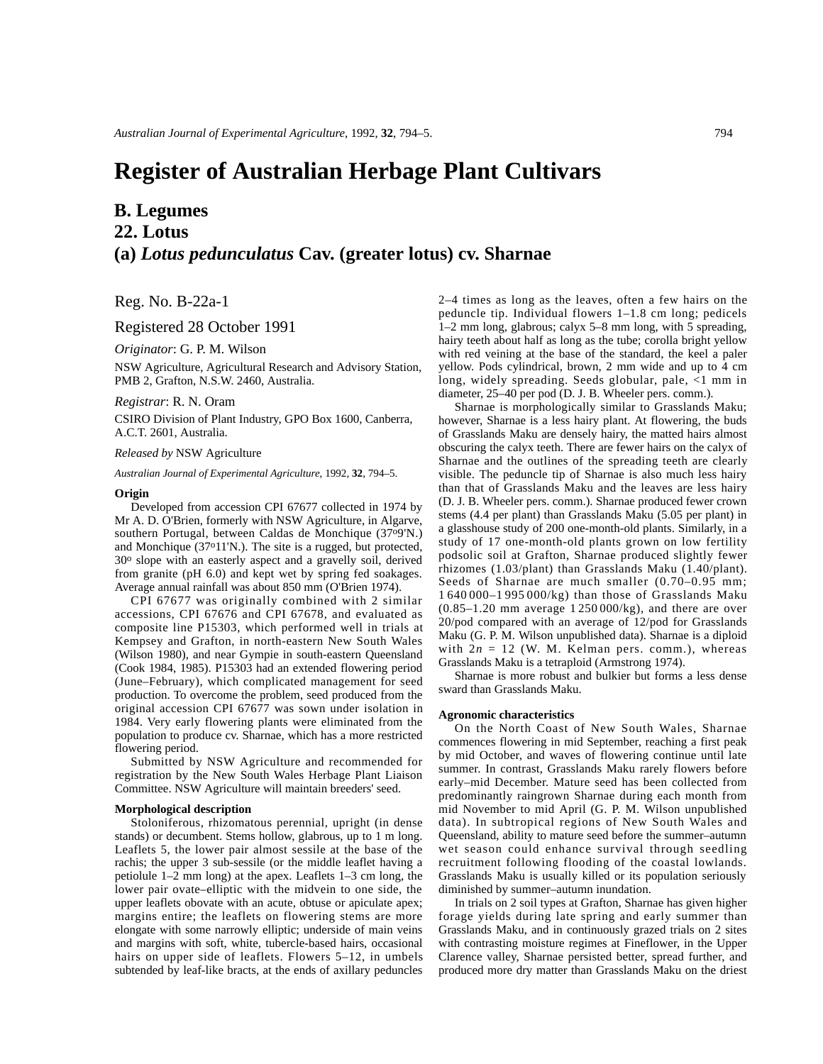# **Register of Australian Herbage Plant Cultivars**

# **B. Legumes 22. Lotus (a)** *Lotus pedunculatus* **Cav. (greater lotus) cv. Sharnae**

Reg. No. B-22a-1

Registered 28 October 1991

*Originator*: G. P. M. Wilson

NSW Agriculture, Agricultural Research and Advisory Station, PMB 2, Grafton, N.S.W. 2460, Australia.

*Registrar*: R. N. Oram

CSIRO Division of Plant Industry, GPO Box 1600, Canberra, A.C.T. 2601, Australia.

*Released by* NSW Agriculture

*Australian Journal of Experimental Agriculture*, 1992, **32**, 794–5.

# **Origin**

Developed from accession CPI 67677 collected in 1974 by Mr A. D. O'Brien, formerly with NSW Agriculture, in Algarve, southern Portugal, between Caldas de Monchique (37o9'N.) and Monchique (37o11'N.). The site is a rugged, but protected, 30o slope with an easterly aspect and a gravelly soil, derived from granite (pH 6.0) and kept wet by spring fed soakages. Average annual rainfall was about 850 mm (O'Brien 1974).

CPI 67677 was originally combined with 2 similar accessions, CPI 67676 and CPI 67678, and evaluated as composite line P15303, which performed well in trials at Kempsey and Grafton, in north-eastern New South Wales (Wilson 1980), and near Gympie in south-eastern Queensland (Cook 1984, 1985). P15303 had an extended flowering period (June–February), which complicated management for seed production. To overcome the problem, seed produced from the original accession CPI 67677 was sown under isolation in 1984. Very early flowering plants were eliminated from the population to produce cv. Sharnae, which has a more restricted flowering period.

Submitted by NSW Agriculture and recommended for registration by the New South Wales Herbage Plant Liaison Committee. NSW Agriculture will maintain breeders' seed.

#### **Morphological description**

Stoloniferous, rhizomatous perennial, upright (in dense stands) or decumbent. Stems hollow, glabrous, up to 1 m long. Leaflets 5, the lower pair almost sessile at the base of the rachis; the upper 3 sub-sessile (or the middle leaflet having a petiolule 1–2 mm long) at the apex. Leaflets 1–3 cm long, the lower pair ovate–elliptic with the midvein to one side, the upper leaflets obovate with an acute, obtuse or apiculate apex; margins entire; the leaflets on flowering stems are more elongate with some narrowly elliptic; underside of main veins and margins with soft, white, tubercle-based hairs, occasional hairs on upper side of leaflets. Flowers 5–12, in umbels subtended by leaf-like bracts, at the ends of axillary peduncles

2–4 times as long as the leaves, often a few hairs on the peduncle tip. Individual flowers 1–1.8 cm long; pedicels 1–2 mm long, glabrous; calyx 5–8 mm long, with 5 spreading, hairy teeth about half as long as the tube; corolla bright yellow with red veining at the base of the standard, the keel a paler yellow. Pods cylindrical, brown, 2 mm wide and up to 4 cm long, widely spreading. Seeds globular, pale, <1 mm in diameter, 25–40 per pod (D. J. B. Wheeler pers. comm.).

Sharnae is morphologically similar to Grasslands Maku; however, Sharnae is a less hairy plant. At flowering, the buds of Grasslands Maku are densely hairy, the matted hairs almost obscuring the calyx teeth. There are fewer hairs on the calyx of Sharnae and the outlines of the spreading teeth are clearly visible. The peduncle tip of Sharnae is also much less hairy than that of Grasslands Maku and the leaves are less hairy (D. J. B. Wheeler pers. comm.). Sharnae produced fewer crown stems (4.4 per plant) than Grasslands Maku (5.05 per plant) in a glasshouse study of 200 one-month-old plants. Similarly, in a study of 17 one-month-old plants grown on low fertility podsolic soil at Grafton, Sharnae produced slightly fewer rhizomes (1.03/plant) than Grasslands Maku (1.40/plant). Seeds of Sharnae are much smaller (0.70–0.95 mm; 1 640 000–1 995 000/kg) than those of Grasslands Maku (0.85–1.20 mm average 1 250 000/kg), and there are over 20/pod compared with an average of 12/pod for Grasslands Maku (G. P. M. Wilson unpublished data). Sharnae is a diploid with  $2n = 12$  (W. M. Kelman pers. comm.), whereas Grasslands Maku is a tetraploid (Armstrong 1974).

Sharnae is more robust and bulkier but forms a less dense sward than Grasslands Maku.

#### **Agronomic characteristics**

On the North Coast of New South Wales, Sharnae commences flowering in mid September, reaching a first peak by mid October, and waves of flowering continue until late summer. In contrast, Grasslands Maku rarely flowers before early–mid December. Mature seed has been collected from predominantly raingrown Sharnae during each month from mid November to mid April (G. P. M. Wilson unpublished data). In subtropical regions of New South Wales and Queensland, ability to mature seed before the summer–autumn wet season could enhance survival through seedling recruitment following flooding of the coastal lowlands. Grasslands Maku is usually killed or its population seriously diminished by summer–autumn inundation.

In trials on 2 soil types at Grafton, Sharnae has given higher forage yields during late spring and early summer than Grasslands Maku, and in continuously grazed trials on 2 sites with contrasting moisture regimes at Fineflower, in the Upper Clarence valley, Sharnae persisted better, spread further, and produced more dry matter than Grasslands Maku on the driest